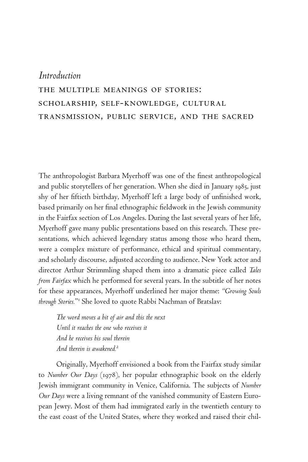## *Introduction*  the multiple meanings of stories: scholarship, self-knowledge, cultural transmission, public service, and the sacred

The anthropologist Barbara Myerhoff was one of the finest anthropological and public storytellers of her generation. When she died in January 1985, just shy of her fiftieth birthday, Myerhoff left a large body of unfinished work, based primarily on her final ethnographic fieldwork in the Jewish community in the Fairfax section of Los Angeles. During the last several years of her life, Myerhoff gave many public presentations based on this research. These presentations, which achieved legendary status among those who heard them, were a complex mixture of performance, ethical and spiritual commentary, and scholarly discourse, adjusted according to audience. New York actor and director Arthur Strimmling shaped them into a dramatic piece called *Tales from Fairfax* which he performed for several years. In the subtitle of her notes for these appearances, Myerhoff underlined her major theme: *"Growing Souls through Stories.*"<sup>1</sup> She loved to quote Rabbi Nachman of Bratslav:

*The word moves a bit of air and this the next Until it reaches the one who receives it And he receives his soul therein And therein is awakened.<sup>2</sup>*

Originally, Myerhoff envisioned a book from the Fairfax study similar to *Number Our Days* (1978), her popular ethnographic book on the elderly Jewish immigrant community in Venice, California. The subjects of *Number Our Days* were a living remnant of the vanished community of Eastern European Jewry. Most of them had immigrated early in the twentieth century to the east coast of the United States, where they worked and raised their chil-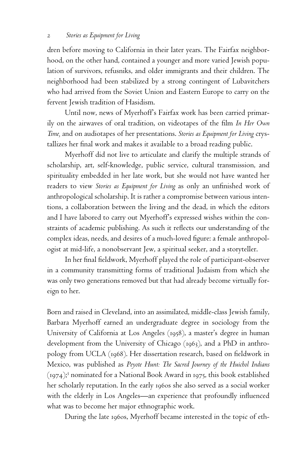dren before moving to California in their later years. The Fairfax neighborhood, on the other hand, contained a younger and more varied Jewish population of survivors, refusniks, and older immigrants and their children. The neighborhood had been stabilized by a strong contingent of Lubavitchers who had arrived from the Soviet Union and Eastern Europe to carry on the fervent Jewish tradition of Hasidism.

Until now, news of Myerhoff's Fairfax work has been carried primarily on the airwaves of oral tradition, on videotapes of the film *In Her Own Time,* and on audiotapes of her presentations. *Stories as Equipment for Living* crystallizes her final work and makes it available to a broad reading public.

Myerhoff did not live to articulate and clarify the multiple strands of scholarship, art, self-knowledge, public service, cultural transmission, and spirituality embedded in her late work, but she would not have wanted her readers to view *Stories as Equipment for Living* as only an unfinished work of anthropological scholarship. It is rather a compromise between various intentions, a collaboration between the living and the dead, in which the editors and I have labored to carry out Myerhoff's expressed wishes within the constraints of academic publishing. As such it reflects our understanding of the complex ideas, needs, and desires of a much-loved figure: a female anthropologist at mid-life, a nonobservant Jew, a spiritual seeker, and a storyteller.

In her final fieldwork, Myerhoff played the role of participant-observer in a community transmitting forms of traditional Judaism from which she was only two generations removed but that had already become virtually foreign to her.

Born and raised in Cleveland, into an assimilated, middle-class Jewish family, Barbara Myerhoff earned an undergraduate degree in sociology from the University of California at Los Angeles (1958), a master's degree in human development from the University of Chicago (1963), and a PhD in anthropology from UCLA (1968). Her dissertation research, based on fieldwork in Mexico, was published as *Peyote Hunt: The Sacred Journey of the Huichol Indians*  $(1974)$ ;<sup>3</sup> nominated for a National Book Award in 1975, this book established her scholarly reputation. In the early 1960s she also served as a social worker with the elderly in Los Angeles—an experience that profoundly influenced what was to become her major ethnographic work.

During the late 1960s, Myerhoff became interested in the topic of eth-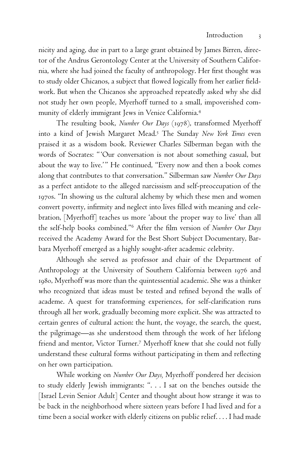nicity and aging, due in part to a large grant obtained by James Birren, director of the Andrus Gerontology Center at the University of Southern California, where she had joined the faculty of anthropology. Her first thought was to study older Chicanos, a subject that flowed logically from her earlier fieldwork. But when the Chicanos she approached repeatedly asked why she did not study her own people, Myerhoff turned to a small, impoverished community of elderly immigrant Jews in Venice California.<sup>4</sup>

The resulting book, *Number Our Days* (1978), transformed Myerhoff into a kind of Jewish Margaret Mead.<sup>5</sup> The Sunday *New York Times* even praised it as a wisdom book. Reviewer Charles Silberman began with the words of Socrates: "'Our conversation is not about something casual, but about the way to live.'" He continued, "Every now and then a book comes along that contributes to that conversation." Silberman saw *Number Our Days* as a perfect antidote to the alleged narcissism and self-preoccupation of the 1970s. "In showing us the cultural alchemy by which these men and women convert poverty, infirmity and neglect into lives filled with meaning and celebration, [Myerhoff] teaches us more 'about the proper way to live' than all the self-help books combined."<sup>6</sup> After the film version of *Number Our Days* received the Academy Award for the Best Short Subject Documentary, Barbara Myerhoff emerged as a highly sought-after academic celebrity.

Although she served as professor and chair of the Department of Anthropology at the University of Southern California between 1976 and 1980, Myerhoff was more than the quintessential academic. She was a thinker who recognized that ideas must be tested and refined beyond the walls of academe. A quest for transforming experiences, for self-clarification runs through all her work, gradually becoming more explicit. She was attracted to certain genres of cultural action: the hunt, the voyage, the search, the quest, the pilgrimage—as she understood them through the work of her lifelong friend and mentor, Victor Turner.7 Myerhoff knew that she could not fully understand these cultural forms without participating in them and reflecting on her own participation.

While working on *Number Our Days,* Myerhoff pondered her decision to study elderly Jewish immigrants: ". . . I sat on the benches outside the [Israel Levin Senior Adult] Center and thought about how strange it was to be back in the neighborhood where sixteen years before I had lived and for a time been a social worker with elderly citizens on public relief. . . . I had made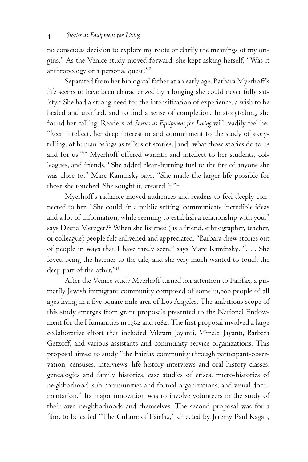no conscious decision to explore my roots or clarify the meanings of my origins." As the Venice study moved forward, she kept asking herself, "Was it anthropology or a personal quest?"<sup>8</sup>

Separated from her biological father at an early age, Barbara Myerhoff's life seems to have been characterized by a longing she could never fully satisfy.<sup>9</sup> She had a strong need for the intensification of experience, a wish to be healed and uplifted, and to find a sense of completion. In storytelling, she found her calling. Readers of *Stories as Equipment for Living* will readily feel her "keen intellect, her deep interest in and commitment to the study of storytelling, of human beings as tellers of stories, [and] what those stories do to us and for us."<sup>10</sup> Myerhoff offered warmth and intellect to her students, colleagues, and friends. "She added clean-burning fuel to the fire of anyone she was close to," Marc Kaminsky says. "She made the larger life possible for those she touched. She sought it, created it."<sup>11</sup>

Myerhoff's radiance moved audiences and readers to feel deeply connected to her. "She could, in a public setting, communicate incredible ideas and a lot of information, while seeming to establish a relationship with you," says Deena Metzger.<sup>12</sup> When she listened (as a friend, ethnographer, teacher, or colleague) people felt enlivened and appreciated. "Barbara drew stories out of people in ways that I have rarely seen," says Marc Kaminsky. ". . . She loved being the listener to the tale, and she very much wanted to touch the deep part of the other."<sup>13</sup>

After the Venice study Myerhoff turned her attention to Fairfax, a primarily Jewish immigrant community composed of some 21,000 people of all ages living in a five-square mile area of Los Angeles. The ambitious scope of this study emerges from grant proposals presented to the National Endowment for the Humanities in 1982 and 1984. The first proposal involved a large collaborative effort that included Vikram Jayanti, Vimala Jayanti, Barbara Getzoff, and various assistants and community service organizations. This proposal aimed to study "the Fairfax community through participant-observation, censuses, interviews, life-history interviews and oral history classes, genealogies and family histories, case studies of crises, micro-histories of neighborhood, sub-communities and formal organizations, and visual documentation." Its major innovation was to involve volunteers in the study of their own neighborhoods and themselves. The second proposal was for a film, to be called "The Culture of Fairfax," directed by Jeremy Paul Kagan,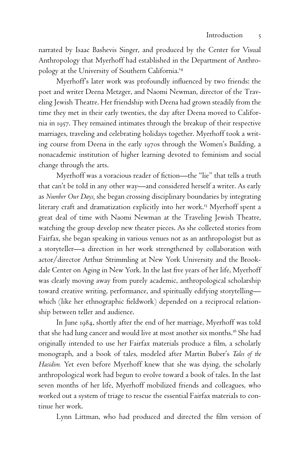narrated by Isaac Bashevis Singer, and produced by the Center for Visual Anthropology that Myerhoff had established in the Department of Anthropology at the University of Southern California.<sup>14</sup>

Myerhoff's later work was profoundly influenced by two friends: the poet and writer Deena Metzger, and Naomi Newman, director of the Traveling Jewish Theatre. Her friendship with Deena had grown steadily from the time they met in their early twenties, the day after Deena moved to California in 1957. They remained intimates through the breakup of their respective marriages, traveling and celebrating holidays together. Myerhoff took a writing course from Deena in the early 1970s through the Women's Building, a nonacademic institution of higher learning devoted to feminism and social change through the arts.

Myerhoff was a voracious reader of fiction—the "lie" that tells a truth that can't be told in any other way—and considered herself a writer. As early as *Number Our Days,* she began crossing disciplinary boundaries by integrating literary craft and dramatization explicitly into her work.<sup>15</sup> Myerhoff spent a great deal of time with Naomi Newman at the Traveling Jewish Theatre, watching the group develop new theater pieces. As she collected stories from Fairfax, she began speaking in various venues not as an anthropologist but as a storyteller—a direction in her work strengthened by collaboration with actor/director Arthur Strimmling at New York University and the Brookdale Center on Aging in New York. In the last five years of her life, Myerhoff was clearly moving away from purely academic, anthropological scholarship toward creative writing, performance, and spiritually edifying storytelling which (like her ethnographic fieldwork) depended on a reciprocal relationship between teller and audience.

In June 1984, shortly after the end of her marriage, Myerhoff was told that she had lung cancer and would live at most another six months.<sup>16</sup> She had originally intended to use her Fairfax materials produce a film, a scholarly monograph, and a book of tales, modeled after Martin Buber's *Tales of the Hasidim.* Yet even before Myerhoff knew that she was dying, the scholarly anthropological work had begun to evolve toward a book of tales. In the last seven months of her life, Myerhoff mobilized friends and colleagues, who worked out a system of triage to rescue the essential Fairfax materials to continue her work.

Lynn Littman, who had produced and directed the film version of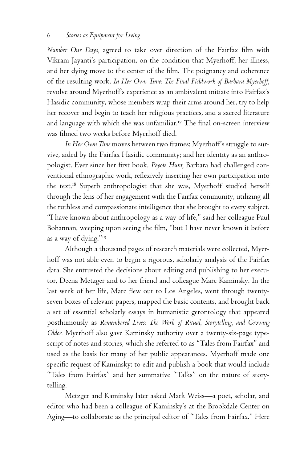*Number Our Days*, agreed to take over direction of the Fairfax film with Vikram Jayanti's participation, on the condition that Myerhoff, her illness, and her dying move to the center of the film. The poignancy and coherence of the resulting work, *In Her Own Time: The Final Fieldwork of Barbara Myerhoff,* revolve around Myerhoff's experience as an ambivalent initiate into Fairfax's Hasidic community, whose members wrap their arms around her, try to help her recover and begin to teach her religious practices, and a sacred literature and language with which she was unfamiliar.<sup>17</sup> The final on-screen interview was filmed two weeks before Myerhoff died.

*In Her Own Time* moves between two frames: Myerhoff's struggle to survive, aided by the Fairfax Hasidic community; and her identity as an anthropologist. Ever since her first book, Peyote Hunt, Barbara had challenged conventional ethnographic work, reflexively inserting her own participation into the text.<sup>18</sup> Superb anthropologist that she was, Myerhoff studied herself through the lens of her engagement with the Fairfax community, utilizing all the ruthless and compassionate intelligence that she brought to every subject. "I have known about anthropology as a way of life," said her colleague Paul Bohannan, weeping upon seeing the film, "but I have never known it before as a way of dying."<sup>19</sup>

Although a thousand pages of research materials were collected, Myerhoff was not able even to begin a rigorous, scholarly analysis of the Fairfax data. She entrusted the decisions about editing and publishing to her executor, Deena Metzger and to her friend and colleague Marc Kaminsky. In the last week of her life, Marc flew out to Los Angeles, went through twentyseven boxes of relevant papers, mapped the basic contents, and brought back a set of essential scholarly essays in humanistic gerontology that appeared posthumously as *Remembered Lives: The Work of Ritual, Storytelling, and Growing Older.* Myerhoff also gave Kaminsky authority over a twenty-six-page typescript of notes and stories, which she referred to as "Tales from Fairfax" and used as the basis for many of her public appearances. Myerhoff made one specific request of Kaminsky: to edit and publish a book that would include "Tales from Fairfax" and her summative "Talks" on the nature of storytelling.

Metzger and Kaminsky later asked Mark Weiss—a poet, scholar, and editor who had been a colleague of Kaminsky's at the Brookdale Center on Aging—to collaborate as the principal editor of "Tales from Fairfax." Here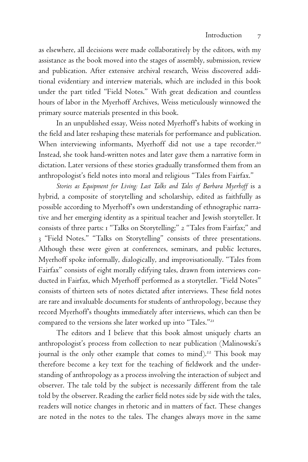as elsewhere, all decisions were made collaboratively by the editors, with my assistance as the book moved into the stages of assembly, submission, review and publication. After extensive archival research, Weiss discovered additional evidentiary and interview materials, which are included in this book under the part titled "Field Notes." With great dedication and countless hours of labor in the Myerhoff Archives, Weiss meticulously winnowed the primary source materials presented in this book.

In an unpublished essay, Weiss noted Myerhoff's habits of working in the field and later reshaping these materials for performance and publication. When interviewing informants, Myerhoff did not use a tape recorder.<sup>20</sup> Instead, she took hand-written notes and later gave them a narrative form in dictation. Later versions of these stories gradually transformed them from an anthropologist's field notes into moral and religious "Tales from Fairfax."

Stories as Equipment for Living: Last Talks and Tales of Barbara Myerhoff is a hybrid, a composite of storytelling and scholarship, edited as faithfully as possible according to Myerhoff's own understanding of ethnographic narrative and her emerging identity as a spiritual teacher and Jewish storyteller. It consists of three parts: 1 "Talks on Storytelling;" 2 "Tales from Fairfax;" and 3 "Field Notes." "Talks on Storytelling" consists of three presentations. Although these were given at conferences, seminars, and public lectures, Myerhoff spoke informally, dialogically, and improvisationally. "Tales from Fairfax" consists of eight morally edifying tales, drawn from interviews conducted in Fairfax, which Myerhoff performed as a storyteller. "Field Notes" consists of thirteen sets of notes dictated after interviews. These field notes are rare and invaluable documents for students of anthropology, because they record Myerhoff's thoughts immediately after interviews, which can then be compared to the versions she later worked up into "Tales."<sup>21</sup>

The editors and I believe that this book almost uniquely charts an anthropologist's process from collection to near publication (Malinowski's journal is the only other example that comes to mind).<sup>22</sup> This book may therefore become a key text for the teaching of fieldwork and the understanding of anthropology as a process involving the interaction of subject and observer. The tale told by the subject is necessarily different from the tale told by the observer. Reading the earlier field notes side by side with the tales, readers will notice changes in rhetoric and in matters of fact. These changes are noted in the notes to the tales. The changes always move in the same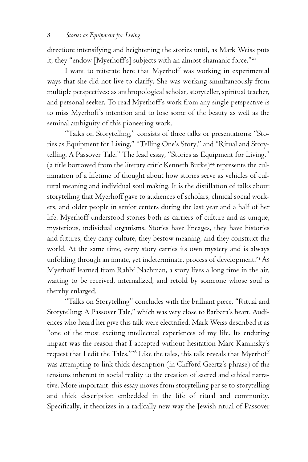direction: intensifying and heightening the stories until, as Mark Weiss puts it, they "endow [Myerhoff's] subjects with an almost shamanic force."<sup>23</sup>

I want to reiterate here that Myerhoff was working in experimental ways that she did not live to clarify. She was working simultaneously from multiple perspectives: as anthropological scholar, storyteller, spiritual teacher, and personal seeker. To read Myerhoff's work from any single perspective is to miss Myerhoff's intention and to lose some of the beauty as well as the seminal ambiguity of this pioneering work.

"Talks on Storytelling," consists of three talks or presentations: "Stories as Equipment for Living," "Telling One's Story," and "Ritual and Storytelling: A Passover Tale." The lead essay, "Stories as Equipment for Living," (a title borrowed from the literary critic Kenneth Burke)<sup>24</sup> represents the culmination of a lifetime of thought about how stories serve as vehicles of cultural meaning and individual soul making. It is the distillation of talks about storytelling that Myerhoff gave to audiences of scholars, clinical social workers, and older people in senior centers during the last year and a half of her life. Myerhoff understood stories both as carriers of culture and as unique, mysterious, individual organisms. Stories have lineages, they have histories and futures, they carry culture, they bestow meaning, and they construct the world. At the same time, every story carries its own mystery and is always unfolding through an innate, yet indeterminate, process of development.<sup>25</sup> As Myerhoff learned from Rabbi Nachman, a story lives a long time in the air, waiting to be received, internalized, and retold by someone whose soul is thereby enlarged.

"Talks on Storytelling" concludes with the brilliant piece, "Ritual and Storytelling: A Passover Tale," which was very close to Barbara's heart. Audiences who heard her give this talk were electrified. Mark Weiss described it as "one of the most exciting intellectual experiences of my life. Its enduring impact was the reason that I accepted without hesitation Marc Kaminsky's request that I edit the Tales."<sup>26</sup> Like the tales, this talk reveals that Myerhoff was attempting to link thick description (in Clifford Geertz's phrase) of the tensions inherent in social reality to the creation of sacred and ethical narrative. More important, this essay moves from storytelling per se to storytelling and thick description embedded in the life of ritual and community. Specifically, it theorizes in a radically new way the Jewish ritual of Passover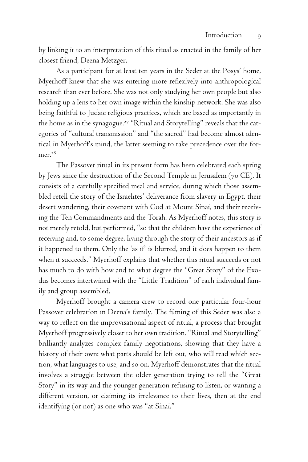by linking it to an interpretation of this ritual as enacted in the family of her closest friend, Deena Metzger.

As a participant for at least ten years in the Seder at the Posys' home, Myerhoff knew that she was entering more reflexively into anthropological research than ever before. She was not only studying her own people but also holding up a lens to her own image within the kinship network. She was also being faithful to Judaic religious practices, which are based as importantly in the home as in the synagogue.<sup>27</sup> "Ritual and Storytelling" reveals that the categories of "cultural transmission" and "the sacred" had become almost identical in Myerhoff's mind, the latter seeming to take precedence over the former.<sup>28</sup>

The Passover ritual in its present form has been celebrated each spring by Jews since the destruction of the Second Temple in Jerusalem (70 CE). It consists of a carefully specified meal and service, during which those assembled retell the story of the Israelites' deliverance from slavery in Egypt, their desert wandering, their covenant with God at Mount Sinai, and their receiving the Ten Commandments and the Torah. As Myerhoff notes, this story is not merely retold, but performed, "so that the children have the experience of receiving and, to some degree, living through the story of their ancestors as if it happened to them. Only the 'as if' is blurred, and it does happen to them when it succeeds." Myerhoff explains that whether this ritual succeeds or not has much to do with how and to what degree the "Great Story" of the Exodus becomes intertwined with the "Little Tradition" of each individual family and group assembled.

Myerhoff brought a camera crew to record one particular four-hour Passover celebration in Deena's family. The filming of this Seder was also a way to reflect on the improvisational aspect of ritual, a process that brought Myerhoff progressively closer to her own tradition. "Ritual and Storytelling" brilliantly analyzes complex family negotiations, showing that they have a history of their own: what parts should be left out, who will read which section, what languages to use, and so on. Myerhoff demonstrates that the ritual involves a struggle between the older generation trying to tell the "Great Story" in its way and the younger generation refusing to listen, or wanting a different version, or claiming its irrelevance to their lives, then at the end identifying (or not) as one who was "at Sinai."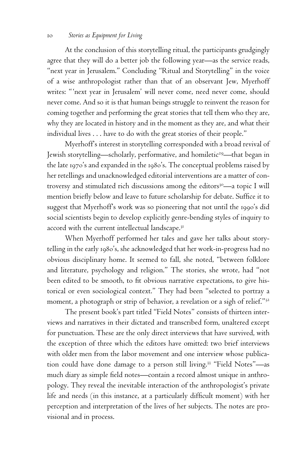## 10 *Stories as Equipment for Living*

At the conclusion of this storytelling ritual, the participants grudgingly agree that they will do a better job the following year—as the service reads, "next year in Jerusalem." Concluding "Ritual and Storytelling" in the voice of a wise anthropologist rather than that of an observant Jew, Myerhoff writes: "'next year in Jerusalem' will never come, need never come, should never come. And so it is that human beings struggle to reinvent the reason for coming together and performing the great stories that tell them who they are, why they are located in history and in the moment as they are, and what their individual lives . . . have to do with the great stories of their people."

Myerhoff's interest in storytelling corresponded with a broad revival of Jewish storytelling—scholarly, performative, and homiletic<sup>29</sup>—that began in the late 1970's and expanded in the 1980's. The conceptual problems raised by her retellings and unacknowledged editorial interventions are a matter of controversy and stimulated rich discussions among the editors<sup>30</sup>—a topic I will mention briefly below and leave to future scholarship for debate. Suffice it to suggest that Myerhoff's work was so pioneering that not until the 1990's did social scientists begin to develop explicitly genre-bending styles of inquiry to accord with the current intellectual landscape. $3<sup>I</sup>$ 

When Myerhoff performed her tales and gave her talks about storytelling in the early 1980's, she acknowledged that her work-in-progress had no obvious disciplinary home. It seemed to fall, she noted, "between folklore and literature, psychology and religion." The stories, she wrote, had "not been edited to be smooth, to fit obvious narrative expectations, to give historical or even sociological context." They had been "selected to portray a moment, a photograph or strip of behavior, a revelation or a sigh of relief."<sup>32</sup>

The present book's part titled "Field Notes" consists of thirteen interviews and narratives in their dictated and transcribed form, unaltered except for punctuation. These are the only direct interviews that have survived, with the exception of three which the editors have omitted: two brief interviews with older men from the labor movement and one interview whose publication could have done damage to a person still living.<sup>33</sup> "Field Notes"—as much diary as simple field notes—contain a record almost unique in anthropology. They reveal the inevitable interaction of the anthropologist's private life and needs (in this instance, at a particularly difficult moment) with her perception and interpretation of the lives of her subjects. The notes are provisional and in process.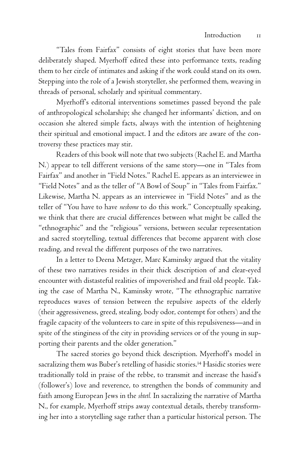"Tales from Fairfax" consists of eight stories that have been more deliberately shaped. Myerhoff edited these into performance texts, reading them to her circle of intimates and asking if the work could stand on its own. Stepping into the role of a Jewish storyteller, she performed them, weaving in threads of personal, scholarly and spiritual commentary.

Myerhoff's editorial interventions sometimes passed beyond the pale of anthropological scholarship; she changed her informants' diction, and on occasion she altered simple facts, always with the intention of heightening their spiritual and emotional impact. I and the editors are aware of the controversy these practices may stir.

Readers of this book will note that two subjects (Rachel E. and Martha N.) appear to tell different versions of the same story—one in "Tales from Fairfax" and another in "Field Notes." Rachel E. appears as an interviewee in "Field Notes" and as the teller of "A Bowl of Soup" in "Tales from Fairfax." Likewise, Martha N. appears as an interviewee in "Field Notes" and as the teller of "You have to have *neshome* to do this work." Conceptually speaking, we think that there are crucial differences between what might be called the "ethnographic" and the "religious" versions, between secular representation and sacred storytelling, textual differences that become apparent with close reading, and reveal the different purposes of the two narratives.

In a letter to Deena Metzger, Marc Kaminsky argued that the vitality of these two narratives resides in their thick description of and clear-eyed encounter with distasteful realities of impoverished and frail old people. Taking the case of Martha N., Kaminsky wrote, "The ethnographic narrative reproduces waves of tension between the repulsive aspects of the elderly (their aggressiveness, greed, stealing, body odor, contempt for others) and the fragile capacity of the volunteers to care in spite of this repulsiveness—and in spite of the stinginess of the city in providing services or of the young in supporting their parents and the older generation."

The sacred stories go beyond thick description. Myerhoff's model in sacralizing them was Buber's retelling of hasidic stories.<sup>34</sup> Hasidic stories were traditionally told in praise of the rebbe, to transmit and increase the hasid's (follower's) love and reverence, to strengthen the bonds of community and faith among European Jews in the *shtetl.* In sacralizing the narrative of Martha N., for example, Myerhoff strips away contextual details, thereby transforming her into a storytelling sage rather than a particular historical person. The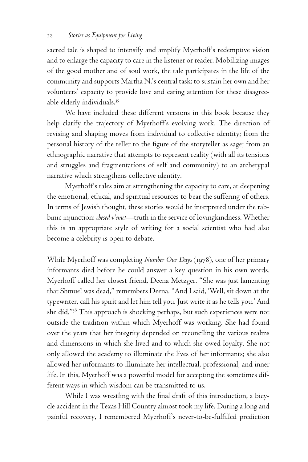sacred tale is shaped to intensify and amplify Myerhoff's redemptive vision and to enlarge the capacity to care in the listener or reader. Mobilizing images of the good mother and of soul work, the tale participates in the life of the community and supports Martha N.'s central task: to sustain her own and her volunteers' capacity to provide love and caring attention for these disagreeable elderly individuals.<sup>35</sup>

We have included these different versions in this book because they help clarify the trajectory of Myerhoff's evolving work. The direction of revising and shaping moves from individual to collective identity; from the personal history of the teller to the figure of the storyteller as sage; from an ethnographic narrative that attempts to represent reality (with all its tensions and struggles and fragmentations of self and community) to an archetypal narrative which strengthens collective identity.

Myerhoff's tales aim at strengthening the capacity to care, at deepening the emotional, ethical, and spiritual resources to bear the suffering of others. In terms of Jewish thought, these stories would be interpreted under the rabbinic injunction: *chesed v'emet*—truth in the service of lovingkindness. Whether this is an appropriate style of writing for a social scientist who had also become a celebrity is open to debate.

While Myerhoff was completing *Number Our Days* (1978), one of her primary informants died before he could answer a key question in his own words. Myerhoff called her closest friend, Deena Metzger. "She was just lamenting that Shmuel was dead," remembers Deena. "And I said, 'Well, sit down at the typewriter, call his spirit and let him tell you. Just write it as he tells you.' And she did."36 This approach is shocking perhaps, but such experiences were not outside the tradition within which Myerhoff was working. She had found over the years that her integrity depended on reconciling the various realms and dimensions in which she lived and to which she owed loyalty. She not only allowed the academy to illuminate the lives of her informants; she also allowed her informants to illuminate her intellectual, professional, and inner life. In this, Myerhoff was a powerful model for accepting the sometimes different ways in which wisdom can be transmitted to us.

While I was wrestling with the final draft of this introduction, a bicycle accident in the Texas Hill Country almost took my life. During a long and painful recovery, I remembered Myerhoff's never-to-be-fulfilled prediction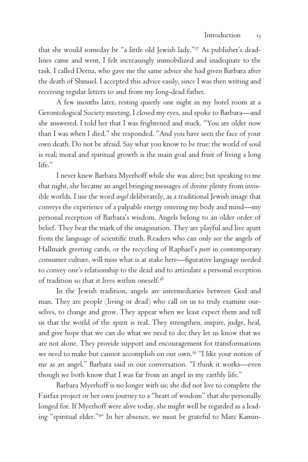that she would someday be "a little old Jewish lady."<sup>37</sup> As publisher's deadlines came and went, I felt increasingly immobilized and inadequate to the task. I called Deena, who gave me the same advice she had given Barbara after the death of Shmuel. I accepted this advice easily, since I was then writing and receiving regular letters to and from my long-dead father.

A few months later, resting quietly one night in my hotel room at a Gerontological Society meeting, I closed my eyes, and spoke to Barbara—and she answered. I told her that I was frightened and stuck. "You are older now than I was when I died," she responded. "And you have seen the face of your own death. Do not be afraid. Say what you know to be true: the world of soul is real; moral and spiritual growth is the main goal and fruit of living a long life."

I never knew Barbara Myerhoff while she was alive; but speaking to me that night, she became an angel bringing messages of divine plenty from invisible worlds. I use the word *angel* deliberately, as a traditional Jewish image that conveys the experience of a palpable energy entering my body and mind—my personal reception of Barbara's wisdom. Angels belong to an older order of belief. They bear the mark of the imagination. They are playful and live apart from the language of scientific truth. Readers who can only see the angels of Hallmark greeting cards, or the recycling of Raphael's *putti* in contemporary consumer culture, will miss what is at stake here—figurative language needed to convey one's relationship to the dead and to articulate a personal reception of tradition so that it lives within oneself.38

In the Jewish tradition, angels are intermediaries between God and man. They are people (living or dead) who call on us to truly examine ourselves, to change and grow. They appear when we least expect them and tell us that the world of the spirit is real. They strengthen, inspire, judge, heal, and give hope that we can do what we need to do; they let us know that we are not alone. They provide support and encouragement for transformations we need to make but cannot accomplish on our own.<sup>39</sup> "I like your notion of me as an angel," Barbara said in our conversation. "I think it works—even though we both know that I was far from an angel in my earthly life."

Barbara Myerhoff is no longer with us; she did not live to complete the Fairfax project or her own journey to a "heart of wisdom" that she personally longed for. If Myerhoff were alive today, she might well be regarded as a leading "spiritual elder."<sup>40</sup> In her absence, we must be grateful to Marc Kamin-